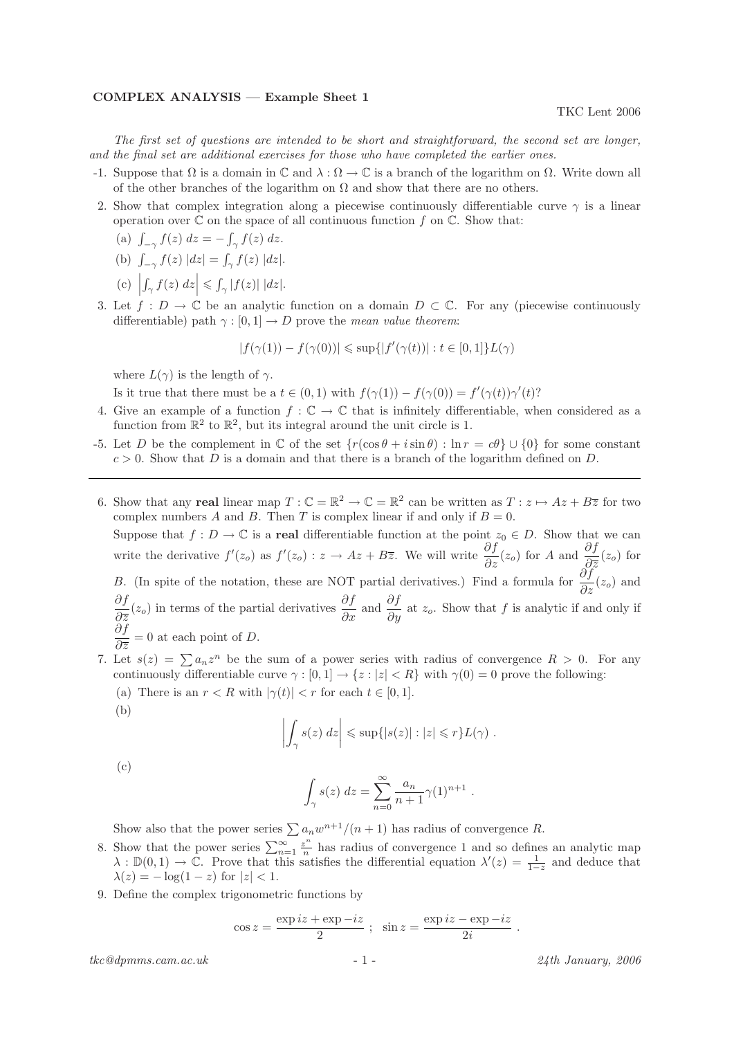## COMPLEX ANALYSIS — Example Sheet 1

The first set of questions are intended to be short and straightforward, the second set are longer, and the final set are additional exercises for those who have completed the earlier ones.

- -1. Suppose that  $\Omega$  is a domain in  $\mathbb C$  and  $\lambda : \Omega \to \mathbb C$  is a branch of the logarithm on  $\Omega$ . Write down all of the other branches of the logarithm on  $\Omega$  and show that there are no others.
- 2. Show that complex integration along a piecewise continuously differentiable curve  $\gamma$  is a linear operation over  $\mathbb C$  on the space of all continuous function f on  $\mathbb C$ . Show that:
	- (a)  $\int_{-\gamma} f(z) dz = \int_{\gamma} f(z) dz$ .
	- (b)  $\int_{-\gamma} f(z) |dz| = \int_{\gamma} f(z) |dz|.$
	- (c)     $\left|\int_{\gamma} f(z) dz \right| \leq \int_{\gamma} |f(z)| |dz|.$
- 3. Let  $f: D \to \mathbb{C}$  be an analytic function on a domain  $D \subset \mathbb{C}$ . For any (piecewise continuously differentiable) path  $\gamma : [0, 1] \to D$  prove the mean value theorem:

$$
|f(\gamma(1)) - f(\gamma(0))| \le \sup\{|f'(\gamma(t))| : t \in [0, 1]\}L(\gamma)
$$

where  $L(\gamma)$  is the length of  $\gamma$ .

Is it true that there must be a  $t \in (0,1)$  with  $f(\gamma(1)) - f(\gamma(0)) = f'(\gamma(t))\gamma'(t)$ ?

- 4. Give an example of a function  $f : \mathbb{C} \to \mathbb{C}$  that is infinitely differentiable, when considered as a function from  $\mathbb{R}^2$  to  $\mathbb{R}^2$ , but its integral around the unit circle is 1.
- -5. Let D be the complement in  $\mathbb C$  of the set  $\{r(\cos \theta + i \sin \theta) : \ln r = c\theta\} \cup \{0\}$  for some constant  $c > 0$ . Show that D is a domain and that there is a branch of the logarithm defined on D.
- 6. Show that any real linear map  $T: \mathbb{C} = \mathbb{R}^2 \to \mathbb{C} = \mathbb{R}^2$  can be written as  $T: z \mapsto Az + B\overline{z}$  for two complex numbers A and B. Then T is complex linear if and only if  $B = 0$ . Suppose that  $f: D \to \mathbb{C}$  is a real differentiable function at the point  $z_0 \in D$ . Show that we can write the derivative  $f'(z_o)$  as  $f'(z_o) : z \to Az + B\overline{z}$ . We will write  $\frac{\partial f}{\partial z}(z_o)$  for A and  $\frac{\partial f}{\partial \overline{z}}(z_o)$  for B. (In spite of the notation, these are NOT partial derivatives.) Find a formula for  $\frac{\partial f}{\partial z}(z_o)$  and ∂f  $\frac{\partial f}{\partial \overline{z}}(z_o)$  in terms of the partial derivatives  $\frac{\partial f}{\partial x}$  and  $\frac{\partial f}{\partial y}$  at  $z_o$ . Show that f is analytic if and only if ∂f  $\frac{\partial J}{\partial \overline{z}} = 0$  at each point of D.
- 7. Let  $s(z) = \sum a_n z^n$  be the sum of a power series with radius of convergence  $R > 0$ . For any continuously differentiable curve  $\gamma : [0, 1] \to \{z : |z| < R\}$  with  $\gamma(0) = 0$  prove the following:
	- (a) There is an  $r < R$  with  $|\gamma(t)| < r$  for each  $t \in [0, 1]$ .

(b)

$$
\left| \int_{\gamma} s(z) dz \right| \leq \sup \{ |s(z)| : |z| \leq r \} L(\gamma) .
$$

(c)

$$
\int_{\gamma} s(z) dz = \sum_{n=0}^{\infty} \frac{a_n}{n+1} \gamma(1)^{n+1} .
$$

Show also that the power series  $\sum a_n w^{n+1}/(n+1)$  has radius of convergence R.

- 8. Show that the power series  $\sum_{n=1}^{\infty} \frac{z^n}{n}$  $\frac{z^{n}}{n}$  has radius of convergence 1 and so defines an analytic map  $\lambda : \mathbb{D}(0,1) \to \mathbb{C}$ . Prove that this satisfies the differential equation  $\lambda'(z) = \frac{1}{1-z}$  and deduce that  $\lambda(z) = -\log(1-z)$  for  $|z| < 1$ .
- 9. Define the complex trigonometric functions by

$$
\cos z = \frac{\exp iz + \exp -iz}{2} ; \quad \sin z = \frac{\exp iz - \exp -iz}{2i} .
$$

 $tkc@dpmms.cam.ac.uk$  - 1 - 24th January, 2006